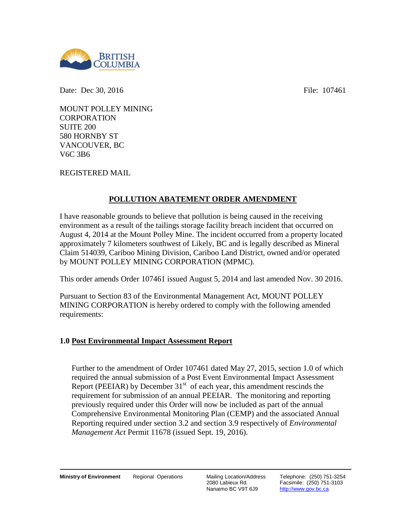

Date: Dec 30, 2016 **File:** 107461

MOUNT POLLEY MINING **CORPORATION** SUITE 200 580 HORNBY ST VANCOUVER, BC V6C 3B6

REGISTERED MAIL

## **POLLUTION ABATEMENT ORDER AMENDMENT**

I have reasonable grounds to believe that pollution is being caused in the receiving environment as a result of the tailings storage facility breach incident that occurred on August 4, 2014 at the Mount Polley Mine. The incident occurred from a property located approximately 7 kilometers southwest of Likely, BC and is legally described as Mineral Claim 514039, Cariboo Mining Division, Cariboo Land District, owned and/or operated by MOUNT POLLEY MINING CORPORATION (MPMC).

This order amends Order 107461 issued August 5, 2014 and last amended Nov. 30 2016.

Pursuant to Section 83 of the Environmental Management Act, MOUNT POLLEY MINING CORPORATION is hereby ordered to comply with the following amended requirements:

## **1.0 Post Environmental Impact Assessment Report**

Further to the amendment of Order 107461 dated May 27, 2015, section 1.0 of which required the annual submission of a Post Event Environmental Impact Assessment Report (PEEIAR) by December  $31<sup>st</sup>$  of each year, this amendment rescinds the requirement for submission of an annual PEEIAR. The monitoring and reporting previously required under this Order will now be included as part of the annual Comprehensive Environmental Monitoring Plan (CEMP) and the associated Annual Reporting required under section 3.2 and section 3.9 respectively of *Environmental Management Act* Permit 11678 (issued Sept. 19, 2016).

2080 Labieux Rd. Nanaimo BC V9T 6J9 Telephone: (250) 751-3254 Facsimile: (250) 751-3103 http://www.gov.bc.ca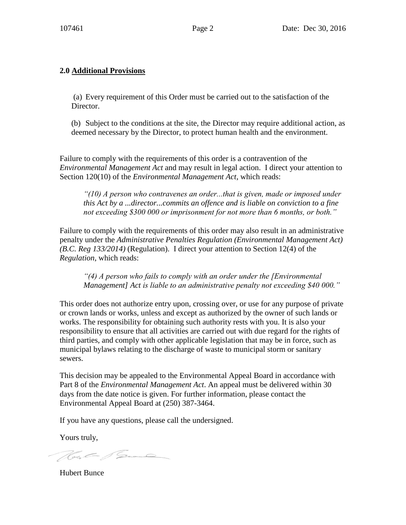## **2.0 Additional Provisions**

(a) Every requirement of this Order must be carried out to the satisfaction of the Director.

(b) Subject to the conditions at the site, the Director may require additional action, as deemed necessary by the Director, to protect human health and the environment.

Failure to comply with the requirements of this order is a contravention of the *Environmental Management Act* and may result in legal action. I direct your attention to Section 120(10) of the *Environmental Management Act*, which reads:

*"(10) A person who contravenes an order...that is given, made or imposed under this Act by a ...director...commits an offence and is liable on conviction to a fine not exceeding \$300 000 or imprisonment for not more than 6 months, or both."*

Failure to comply with the requirements of this order may also result in an administrative penalty under the *Administrative Penalties Regulation (Environmental Management Act) (B.C. Reg 133/2014)* (Regulation). I direct your attention to Section 12(4) of the *Regulation*, which reads:

*"(4) A person who fails to comply with an order under the [Environmental Management] Act is liable to an administrative penalty not exceeding \$40 000."* 

This order does not authorize entry upon, crossing over, or use for any purpose of private or crown lands or works, unless and except as authorized by the owner of such lands or works. The responsibility for obtaining such authority rests with you. It is also your responsibility to ensure that all activities are carried out with due regard for the rights of third parties, and comply with other applicable legislation that may be in force, such as municipal bylaws relating to the discharge of waste to municipal storm or sanitary sewers.

This decision may be appealed to the Environmental Appeal Board in accordance with Part 8 of the *Environmental Management Act*. An appeal must be delivered within 30 days from the date notice is given. For further information, please contact the Environmental Appeal Board at (250) 387-3464.

If you have any questions, please call the undersigned.

Yours truly,

Hot Same

Hubert Bunce